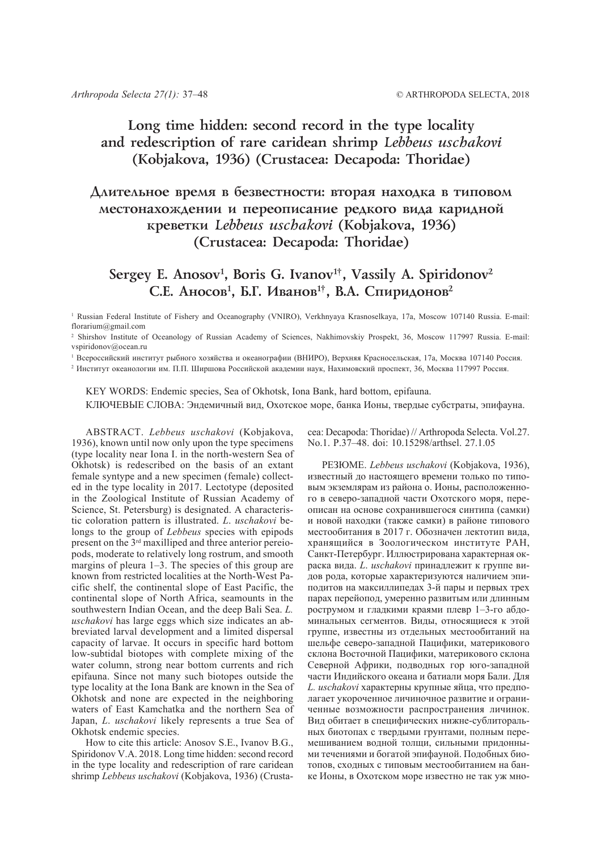## **Long time hidden: second record in the type locality and redescription of rare caridean shrimp** *Lebbeus uschakovi* **(Kobjakova, 1936) (Crustacea: Decapoda: Thoridae)**

# Длительное время в безвестности: вторая находка в типовом местонахождении и переописание редкого вида каридной **êðåâåòêè** *Lebbeus uschakovi* **(Kobjakova, 1936) (Crustacea: Decapoda: Thoridae)**

# Sergey E. Anosov<sup>1</sup>, Boris G. Ivanov<sup>1†</sup>, Vassily A. Spiridonov<sup>2</sup> С.Е. Аносов<sup>1</sup>, Б.Г. Иванов<sup>1†</sup>, В.А. Спиридонов<sup>2</sup>

1 Russian Federal Institute of Fishery and Oceanography (VNIRO), Verkhnyaya Krasnoselkaya, 17a, Moscow 107140 Russia. E-mail: florarium@gmail.com

2 Shirshov Institute of Oceanology of Russian Academy of Sciences, Nakhimovskiy Prospekt, 36, Moscow 117997 Russia. E-mail: vspiridonov@ocean.ru

<sup>1</sup> Всероссийский институт рыбного хозяйства и океанографии (ВНИРО), Верхняя Красносельская, 17а, Москва 107140 Россия.

<sup>2</sup> Институт океанологии им. П.П. Ширшова Российской академии наук, Нахимовский проспект, 36, Москва 117997 Россия.

KEY WORDS: Endemic species, Sea of Okhotsk, Iona Bank, hard bottom, epifauna. КЛЮЧЕВЫЕ СЛОВА: Эндемичный вид, Охотское море, банка Ионы, твердые субстраты, эпифауна.

ABSTRACT. *Lebbeus uschakovi* (Kobjakova, 1936), known until now only upon the type specimens (type locality near Iona I. in the north-western Sea of Okhotsk) is redescribed on the basis of an extant female syntype and a new specimen (female) collected in the type locality in 2017. Lectotype (deposited in the Zoological Institute of Russian Academy of Science, St. Petersburg) is designated. A characteristic coloration pattern is illustrated. *L*. *uschakovi* belongs to the group of *Lebbeus* species with epipods present on the 3rd maxilliped and three anterior pereiopods, moderate to relatively long rostrum, and smooth margins of pleura 1–3. The species of this group are known from restricted localities at the North-West Pacific shelf, the continental slope of East Pacific, the continental slope of North Africa, seamounts in the southwestern Indian Ocean, and the deep Bali Sea. *L. uschakovi* has large eggs which size indicates an abbreviated larval development and a limited dispersal capacity of larvae. It occurs in specific hard bottom low-subtidal biotopes with complete mixing of the water column, strong near bottom currents and rich epifauna. Since not many such biotopes outside the type locality at the Iona Bank are known in the Sea of Okhotsk and none are expected in the neighboring waters of East Kamchatka and the northern Sea of Japan, *L*. *uschakovi* likely represents a true Sea of Okhotsk endemic species.

How to cite this article: Anosov S.E., Ivanov B.G., Spiridonov V.A. 2018. Long time hidden: second record in the type locality and redescription of rare caridean shrimp *Lebbeus uschakovi* (Kobjakova, 1936) (Crustacea: Decapoda: Thoridae) // Arthropoda Selecta. Vol.27. No.1. P.37–48. doi: 10.15298/arthsel. 27.1.05

РЕЗЮМЕ. *Lebbeus uschakovi* (Kobjakova, 1936), известный до настоящего времени только по типовым экземлярам из района о. Ионы, расположенного в северо-западной части Охотского моря, переописан на основе сохранившегося синтипа (самки) и новой находки (также самки) в районе типового местообитания в 2017 г. Обозначен лектотип вида, хранящийся в Зоологическом институте РАН, Санкт-Петербург. Иллюстрирована характерная окраска вида. *L*. *uschakovi* принадлежит к группе видов рода, которые характеризуются наличием эпиподитов на максиллипедах 3-й пары и первых трех парах перейопод, умеренно развитым или длинным рострумом и гладкими краями плевр 1–3-го абдоминальных сегментов. Виды, относящиеся к этой группе, известны из отдельных местообитаний на шельфе северо-западной Пацифики, материкового склона Восточной Пацифики, материкового склона Северной Африки, подводных гор юго-западной части Индийского океана и батиали моря Бали. Для *L. uschakovi* характерны крупные яйца, что предполагает укороченное личиночное развитие и ограниченные возможности распространения личинок. Вид обитает в специфических нижне-сублиторальных биотопах с твердыми грунтами, полным перемешиванием водной толщи, сильными придонными течениями и богатой эпифауной. Подобных биотопов, сходных с типовым местообитанием на банке Ионы, в Охотском море известно не так уж мно-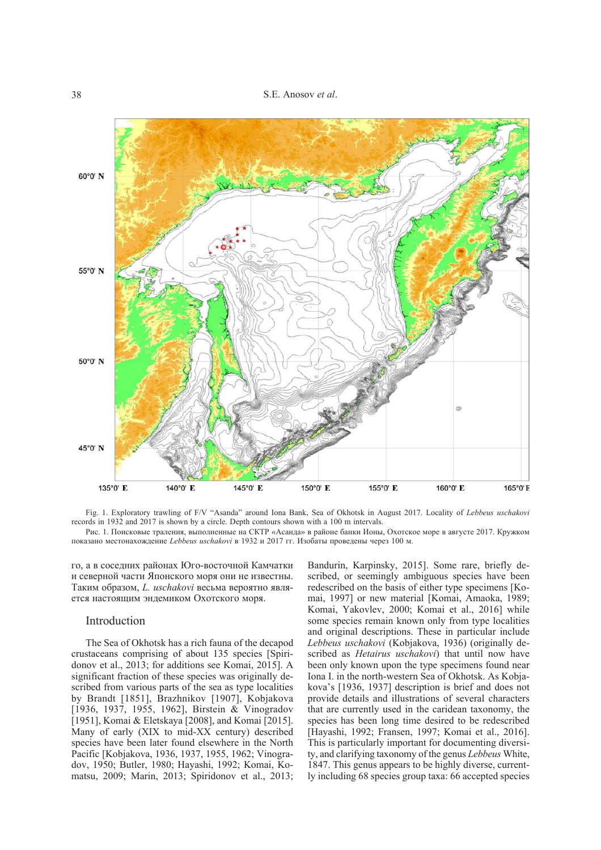



показано местонахождение *Lebbeus uschakovi* в 1932 и 2017 гг. Изобаты проведены через 100 м.

го, а в соседних районах Юго-восточной Камчатки и северной части Японского моря они не известны. Таким образом, *L. uschakovi* весьма вероятно является настоящим эндемиком Охотского моря.

#### Introduction

The Sea of Okhotsk has a rich fauna of the decapod crustaceans comprising of about 135 species [Spiridonov et al., 2013; for additions see Komai, 2015]. A significant fraction of these species was originally described from various parts of the sea as type localities by Brandt [1851], Brazhnikov [1907], Kobjakova [1936, 1937, 1955, 1962], Birstein & Vinogradov [1951], Komai & Eletskaya [2008], and Komai [2015]. Many of early (XIX to mid-XX century) described species have been later found elsewhere in the North Pacific [Kobjakova, 1936, 1937, 1955, 1962; Vinogradov, 1950; Butler, 1980; Hayashi, 1992; Komai, Komatsu, 2009; Marin, 2013; Spiridonov et al., 2013; Bandurin, Karpinsky, 2015]. Some rare, briefly described, or seemingly ambiguous species have been redescribed on the basis of either type specimens [Komai, 1997] or new material [Komai, Amaoka, 1989; Komai, Yakovlev, 2000; Komai et al., 2016] while some species remain known only from type localities and original descriptions. These in particular include *Lebbeus uschakovi* (Kobjakova, 1936) (originally described as *Hetairus uschakovi*) that until now have been only known upon the type specimens found near Iona I. in the north-western Sea of Okhotsk. As Kobjakova's [1936, 1937] description is brief and does not provide details and illustrations of several characters that are currently used in the caridean taxonomy, the species has been long time desired to be redescribed [Hayashi, 1992; Fransen, 1997; Komai et al., 2016]. This is particularly important for documenting diversity, and clarifying taxonomy of the genus *Lebbeus* White, 1847. This genus appears to be highly diverse, currently including 68 species group taxa: 66 accepted species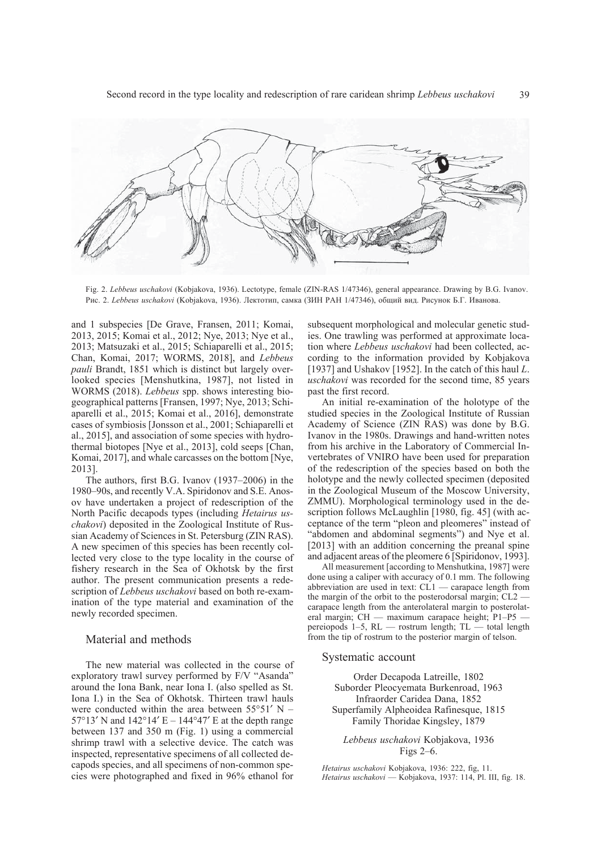

Fig. 2. *Lebbeus uschakovi* (Kobjakova, 1936). Lectotype, female (ZIN-RAS 1/47346), general appearance. Drawing by B.G. Ivanov. Рис. 2. *Lebbeus uschakovi* (Kobjakova, 1936). Лектотип, самка (ЗИН РАН 1/47346), общий вид. Рисунок Б.Г. Иванова.

and 1 subspecies [De Grave, Fransen, 2011; Komai, 2013, 2015; Komai et al., 2012; Nye, 2013; Nye et al., 2013; Matsuzaki et al., 2015; Schiaparelli et al., 2015; Chan, Komai, 2017; WORMS, 2018], and *Lebbeus pauli* Brandt, 1851 which is distinct but largely overlooked species [Menshutkina, 1987], not listed in WORMS (2018). *Lebbeus* spp. shows interesting biogeographical patterns [Fransen, 1997; Nye, 2013; Schiaparelli et al., 2015; Komai et al., 2016], demonstrate cases of symbiosis [Jonsson et al., 2001; Schiaparelli et al., 2015], and association of some species with hydrothermal biotopes [Nye et al., 2013], cold seeps [Chan, Komai, 2017], and whale carcasses on the bottom [Nye, 2013].

The authors, first B.G. Ivanov (1937–2006) in the 1980–90s, and recently V.A. Spiridonov and S.E. Anosov have undertaken a project of redescription of the North Pacific decapods types (including *Hetairus uschakovi*) deposited in the Zoological Institute of Russian Academy of Sciences in St. Petersburg (ZIN RAS). A new specimen of this species has been recently collected very close to the type locality in the course of fishery research in the Sea of Okhotsk by the first author. The present communication presents a redescription of *Lebbeus uschakovi* based on both re-examination of the type material and examination of the newly recorded specimen.

### Material and methods

The new material was collected in the course of exploratory trawl survey performed by F/V "Asanda" around the Iona Bank, near Iona I. (also spelled as St. Iona I.) in the Sea of Okhotsk. Thirteen trawl hauls were conducted within the area between 55°51′ N – 57°13′ N and 142°14′ E – 144°47′ E at the depth range between 137 and 350 m (Fig. 1) using a commercial shrimp trawl with a selective device. The catch was inspected, representative specimens of all collected decapods species, and all specimens of non-common species were photographed and fixed in 96% ethanol for

subsequent morphological and molecular genetic studies. One trawling was performed at approximate location where *Lebbeus uschakovi* had been collected, according to the information provided by Kobjakova [1937] and Ushakov [1952]. In the catch of this haul *L*. *uschakovi* was recorded for the second time, 85 years past the first record.

An initial re-examination of the holotype of the studied species in the Zoological Institute of Russian Academy of Science (ZIN RAS) was done by B.G. Ivanov in the 1980s. Drawings and hand-written notes from his archive in the Laboratory of Commercial Invertebrates of VNIRO have been used for preparation of the redescription of the species based on both the holotype and the newly collected specimen (deposited in the Zoological Museum of the Moscow University, ZMMU). Morphological terminology used in the description follows McLaughlin [1980, fig. 45] (with acceptance of the term "pleon and pleomeres" instead of "abdomen and abdominal segments") and Nye et al. [2013] with an addition concerning the preanal spine and adjacent areas of the pleomere 6 [Spiridonov, 1993].

All measurement [according to Menshutkina, 1987] were done using a caliper with accuracy of 0.1 mm. The following abbreviation are used in text: CL1 — carapace length from the margin of the orbit to the posterodorsal margin; CL2 carapace length from the anterolateral margin to posterolateral margin; CH — maximum carapace height; P1–P5 pereiopods  $1-5$ , RL — rostrum length; TL — total length from the tip of rostrum to the posterior margin of telson.

#### Systematic account

Order Decapoda Latreille, 1802 Suborder Pleocyemata Burkenroad, 1963 Infraorder Caridea Dana, 1852 Superfamily Alpheoidea Rafinesque, 1815 Family Thoridae Kingsley, 1879

#### *Lebbeus uschakovi* Kobjakova, 1936 Figs 2–6.

*Hetairus uschakovi* Kobjakova, 1936: 222, fig, 11. *Hetairus uschakovi* — Kobjakova, 1937: 114, Pl. III, fig. 18.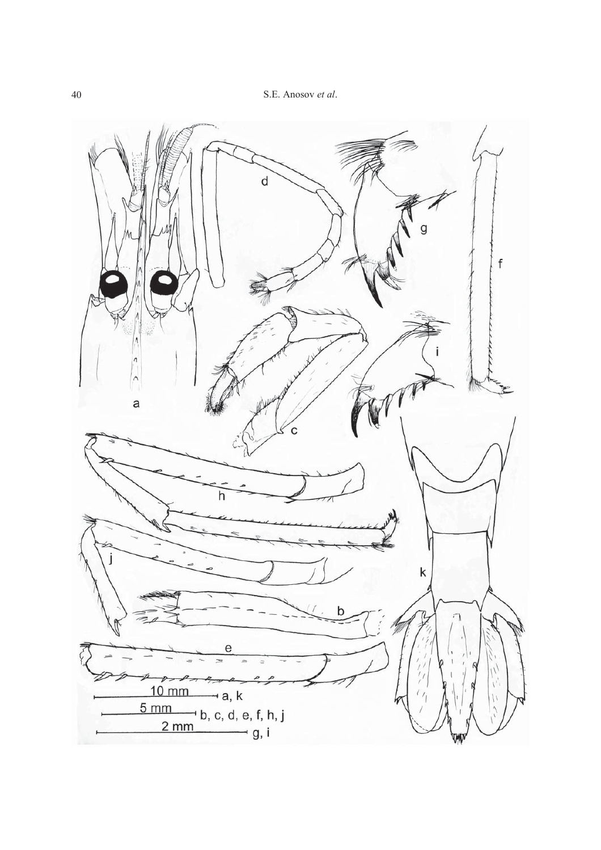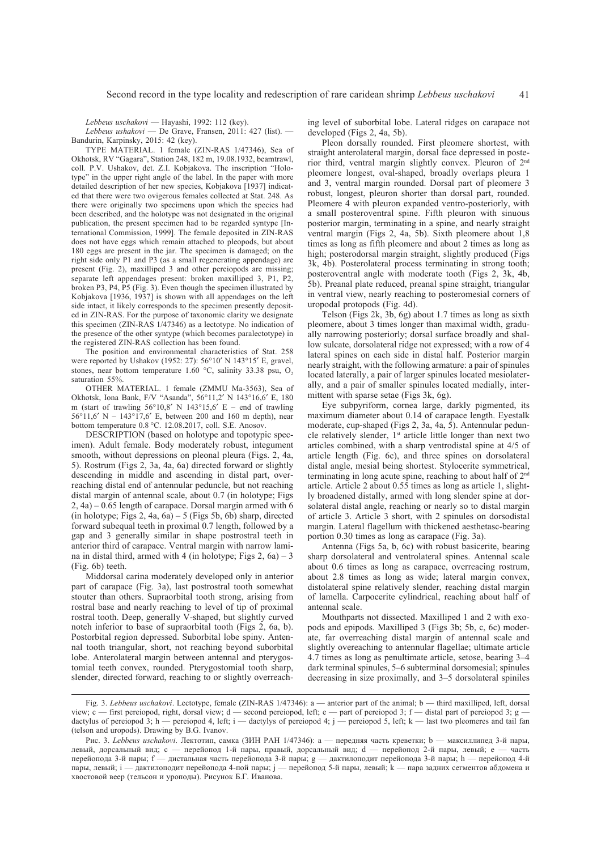*Lebbeus uschakovi* — Hayashi, 1992: 112 (key).

*Lebbeus ushakovi* — De Grave, Fransen, 2011: 427 (list). — Bandurin, Karpinsky, 2015: 42 (key).

TYPE MATERIAL. 1 female (ZIN-RAS 1/47346), Sea of Okhotsk, RV "Gagara", Station 248, 182 m, 19.08.1932, beamtrawl, coll. P.V. Ushakov, det. Z.I. Kobjakova. The inscription "Holotype" in the upper right angle of the label. In the paper with more detailed description of her new species, Kobjakova [1937] indicated that there were two ovigerous females collected at Stat. 248. As there were originally two specimens upon which the species had been described, and the holotype was not designated in the original publication, the present specimen had to be regarded syntype [International Commission, 1999]. The female deposited in ZIN-RAS does not have eggs which remain attached to pleopods, but about 180 eggs are present in the jar. The specimen is damaged; on the right side only P1 and P3 (as a small regenerating appendage) are present (Fig. 2), maxilliped 3 and other pereiopods are missing; separate left appendages present: broken maxilliped 3, P1, P2, broken P3, P4, P5 (Fig. 3). Even though the specimen illustrated by Kobjakova [1936, 1937] is shown with all appendages on the left side intact, it likely corresponds to the specimen presently deposited in ZIN-RAS. For the purpose of taxonomic clarity we designate this specimen (ZIN-RAS 1/47346) as a lectotype. No indication of the presence of the other syntype (which becomes paralectotype) in the registered ZIN-RAS collection has been found.

The position and environmental characteristics of Stat. 258 were reported by Ushakov (1952: 27): 56°10′ N 143°15′ E, gravel, stones, near bottom temperature 1.60  $^{\circ}$ C, salinity 33.38 psu, O<sub>2</sub> saturation 55%

OTHER MATERIAL. 1 female (ZMMU Ma-3563), Sea of Okhotsk, Iona Bank, F/V "Asanda", 56°11,2′ N 143°16,6′ E, 180 m (start of trawling  $56^{\circ}10,8'$  N  $143^{\circ}15,6'$  E – end of trawling 56°11,6′ N – 143°17,6′ E, between 200 and 160 m depth), near bottom temperature 0.8 °C. 12.08.2017, coll. S.E. Anosov.

DESCRIPTION (based on holotype and topotypic specimen). Adult female. Body moderately robust, integument smooth, without depressions on pleonal pleura (Figs. 2, 4a, 5). Rostrum (Figs 2, 3a, 4a, 6a) directed forward or slightly descending in middle and ascending in distal part, overreaching distal end of antennular peduncle, but not reaching distal margin of antennal scale, about 0.7 (in holotype; Figs 2, 4a) – 0.65 length of carapace. Dorsal margin armed with 6 (in holotype; Figs 2, 4a,  $6a$ ) – 5 (Figs 5b,  $6b$ ) sharp, directed forward subequal teeth in proximal 0.7 length, followed by a gap and 3 generally similar in shape postrostral teeth in anterior third of carapace. Ventral margin with narrow lamina in distal third, armed with 4 (in holotype; Figs  $2$ , 6a) – 3 (Fig. 6b) teeth.

Middorsal carina moderately developed only in anterior part of carapace (Fig. 3a), last postrostral tooth somewhat stouter than others. Supraorbital tooth strong, arising from rostral base and nearly reaching to level of tip of proximal rostral tooth. Deep, generally V-shaped, but slightly curved notch inferior to base of supraorbital tooth (Figs 2, 6a, b). Postorbital region depressed. Suborbital lobe spiny. Antennal tooth triangular, short, not reaching beyond suborbital lobe. Anterolateral margin between antennal and pterygostomial teeth convex, rounded. Pterygostomial tooth sharp, slender, directed forward, reaching to or slightly overreaching level of suborbital lobe. Lateral ridges on carapace not developed (Figs 2, 4a, 5b).

Pleon dorsally rounded. First pleomere shortest, with straight anterolateral margin, dorsal face depressed in posterior third, ventral margin slightly convex. Pleuron of 2nd pleomere longest, oval-shaped, broadly overlaps pleura 1 and 3, ventral margin rounded. Dorsal part of pleomere 3 robust, longest, pleuron shorter than dorsal part, rounded. Pleomere 4 with pleuron expanded ventro-posteriorly, with a small posteroventral spine. Fifth pleuron with sinuous posterior margin, terminating in a spine, and nearly straight ventral margin (Figs 2, 4a, 5b). Sixth pleomere about 1,8 times as long as fifth pleomere and about 2 times as long as high; posterodorsal margin straight, slightly produced (Figs) 3k, 4b). Posterolateral process terminating in strong tooth; posteroventral angle with moderate tooth (Figs 2, 3k, 4b, 5b). Preanal plate reduced, preanal spine straight, triangular in ventral view, nearly reaching to posteromesial corners of uropodal protopods (Fig. 4d).

Telson (Figs 2k, 3b, 6g) about 1.7 times as long as sixth pleomere, about 3 times longer than maximal width, gradually narrowing posteriorly; dorsal surface broadly and shallow sulcate, dorsolateral ridge not expressed; with a row of 4 lateral spines on each side in distal half. Posterior margin nearly straight, with the following armature: a pair of spinules located laterally, a pair of larger spinules located mesiolaterally, and a pair of smaller spinules located medially, intermittent with sparse setae (Figs 3k, 6g).

Eye subpyriform, cornea large, darkly pigmented, its maximum diameter about 0.14 of carapace length. Eyestalk moderate, cup-shaped (Figs 2, 3a, 4a, 5). Antennular peduncle relatively slender, 1<sup>st</sup> article little longer than next two articles combined, with a sharp ventrodistal spine at 4/5 of article length (Fig. 6c), and three spines on dorsolateral distal angle, mesial being shortest. Stylocerite symmetrical, terminating in long acute spine, reaching to about half of 2nd article. Article 2 about 0.55 times as long as article 1, slightly broadened distally, armed with long slender spine at dorsolateral distal angle, reaching or nearly so to distal margin of article 3. Article 3 short, with 2 spinules on dorsodistal margin. Lateral flagellum with thickened aesthetasc-bearing portion 0.30 times as long as carapace (Fig. 3a).

Antenna (Figs 5a, b, 6c) with robust basicerite, bearing sharp dorsolateral and ventrolateral spines. Antennal scale about 0.6 times as long as carapace, overreacing rostrum, about 2.8 times as long as wide; lateral margin convex, distolateral spine relatively slender, reaching distal margin of lamella. Carpocerite cylindrical, reaching about half of antennal scale.

Mouthparts not dissected. Maxilliped 1 and 2 with exopods and epipods. Maxilliped 3 (Figs 3b; 5b, c, 6c) moderate, far overreaching distal margin of antennal scale and slightly overeaching to antennular flagellae; ultimate article 4.7 times as long as penultimate article, setose, bearing 3–4 dark terminal spinules, 5–6 subterminal dorsomesial; spinules decreasing in size proximally, and 3–5 dorsolateral spiniles

Fig. 3. *Lebbeus uschakovi*. Lectotype, female (ZIN-RAS 1/47346): a — anterior part of the animal; b — third maxilliped, left, dorsal view; c — first pereiopod, right, dorsal view; d — second pereiopod, left; e — part of pereiopod 3; f — distal part of pereiopod 3; g dactylus of pereiopod 3; h — pereiopod 4, left; i — dactylys of pereiopod 4; j — pereiopod 5, left; k — last two pleomeres and tail fan (telson and uropods). Drawing by B.G. Ivanov.

Рис. 3. *Lebbeus uschakovi*. Лектотип, самка (ЗИН РАН 1/47346): a — передняя часть креветки; b — максиллипед 3-й пары, левый, дорсальный вид; c — перейопод 1-й пары, правый, дорсальный вид; d — перейопод 2-й пары, левый; e — часть перейопода 3-й пары; f — дистальная часть перейопода 3-й пары; g — дактилоподит перейопода 3-й пары; h — перейопод 4-й пары, левый; i — дактилоподит перейопода 4-пой пары; j — перейопод 5-й пары, левый; k — пара задних сегментов абдомена и хвостовой веер (тельсон и уроподы). Рисунок Б.Г. Иванова.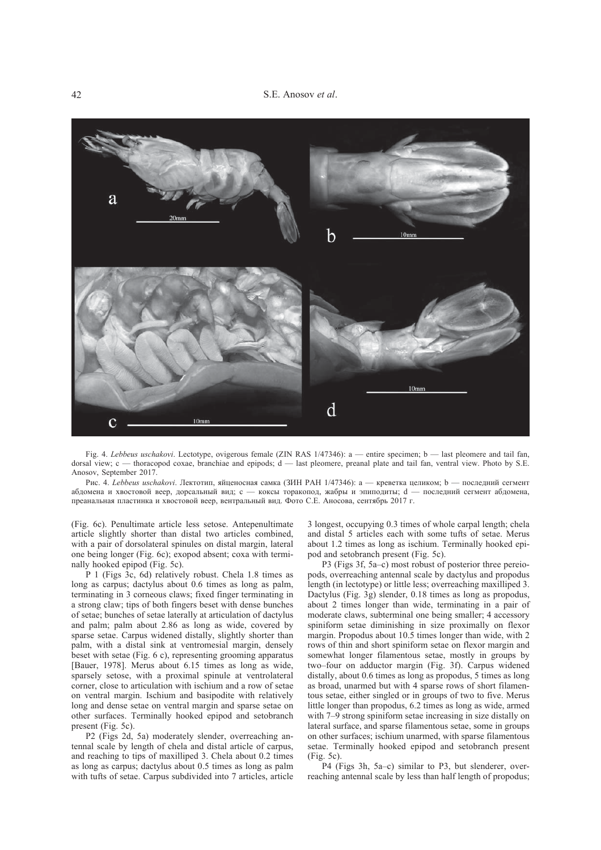

Fig. 4. *Lebbeus uschakovi*. Lectotype, ovigerous female (ZIN RAS 1/47346): a — entire specimen; b — last pleomere and tail fan, dorsal view; c — thoracopod coxae, branchiae and epipods; d — last pleomere, preanal plate and tail fan, ventral view. Photo by S.E. Anosov, September 2017.

Рис. 4. *Lebbeus uschakovi*. Лектотип, яйценосная самка (ЗИН РАН 1/47346): a — креветка целиком; b — последний сегмент абдомена и хвостовой веер, дорсальный вид; c — коксы торакопод, жабры и эпиподиты; d — последний сегмент абдомена, преанальная пластинка и хвостовой веер, вентральный вид. Фото С.Е. Аносова, сентябрь 2017 г.

(Fig. 6c). Penultimate article less setose. Antepenultimate article slightly shorter than distal two articles combined, with a pair of dorsolateral spinules on distal margin, lateral one being longer (Fig. 6c); exopod absent; coxa with terminally hooked epipod (Fig. 5c).

P 1 (Figs 3c, 6d) relatively robust. Chela 1.8 times as long as carpus; dactylus about 0.6 times as long as palm, terminating in 3 corneous claws; fixed finger terminating in a strong claw; tips of both fingers beset with dense bunches of setae; bunches of setae laterally at articulation of dactylus and palm; palm about 2.86 as long as wide, covered by sparse setae. Carpus widened distally, slightly shorter than palm, with a distal sink at ventromesial margin, densely beset with setae (Fig. 6 c), representing grooming apparatus [Bauer, 1978]. Merus about 6.15 times as long as wide, sparsely setose, with a proximal spinule at ventrolateral corner, close to articulation with ischium and a row of setae on ventral margin. Ischium and basipodite with relatively long and dense setae on ventral margin and sparse setae on other surfaces. Terminally hooked epipod and setobranch present (Fig. 5c).

P2 (Figs 2d, 5a) moderately slender, overreaching antennal scale by length of chela and distal article of carpus, and reaching to tips of maxilliped 3. Chela about 0.2 times as long as carpus; dactylus about 0.5 times as long as palm with tufts of setae. Carpus subdivided into 7 articles, article

3 longest, occupying 0.3 times of whole carpal length; chela and distal 5 articles each with some tufts of setae. Merus about 1.2 times as long as ischium. Terminally hooked epipod and setobranch present (Fig. 5c).

P3 (Figs 3f, 5a–c) most robust of posterior three pereiopods, overreaching antennal scale by dactylus and propodus length (in lectotype) or little less; overreaching maxilliped 3. Dactylus (Fig. 3g) slender, 0.18 times as long as propodus, about 2 times longer than wide, terminating in a pair of moderate claws, subterminal one being smaller; 4 accessory spiniform setae diminishing in size proximally on flexor margin. Propodus about  $10.\overline{5}$  times longer than wide, with 2 rows of thin and short spiniform setae on flexor margin and somewhat longer filamentous setae, mostly in groups by two–four on adductor margin (Fig. 3f). Carpus widened distally, about 0.6 times as long as propodus, 5 times as long as broad, unarmed but with 4 sparse rows of short filamentous setae, either singled or in groups of two to five. Merus little longer than propodus, 6.2 times as long as wide, armed with 7–9 strong spiniform setae increasing in size distally on lateral surface, and sparse filamentous setae, some in groups on other surfaces; ischium unarmed, with sparse filamentous setae. Terminally hooked epipod and setobranch present (Fig. 5c).

P4 (Figs 3h, 5a–c) similar to P3, but slenderer, overreaching antennal scale by less than half length of propodus;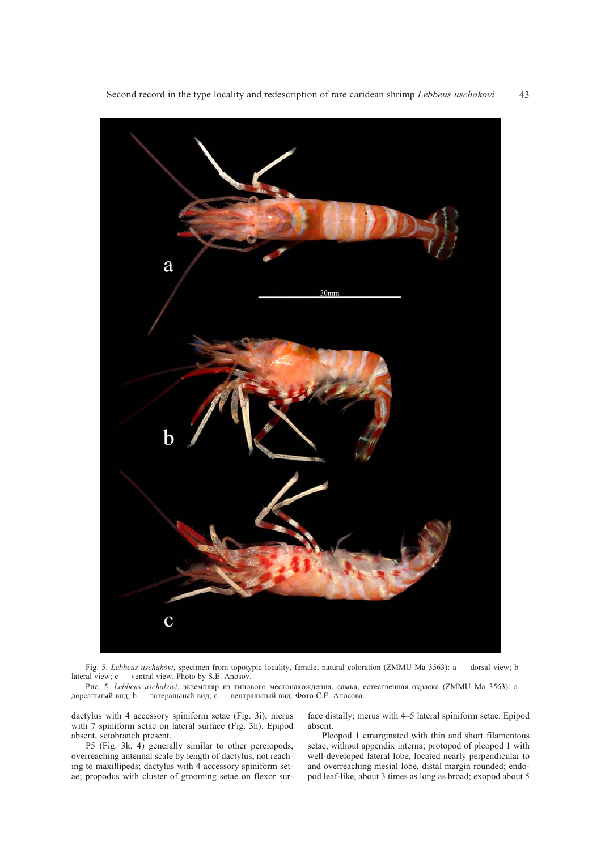

Second record in the type locality and redescription of rare caridean shrimp *Lebbeus uschakovi* 43

Fig. 5. *Lebbeus uschakovi*, specimen from topotypic locality, female; natural coloration (ZMMU Ma 3563): a — dorsal view; b lateral view; c - ventral view. Photo by S.E. Anosov.

Рис. 5. *Lebbeus uschakovi*, экземпляр из типового местонахождения, самка, естественная окраска (ZMMU Ma 3563): a дорсальный вид; b — латеральный вид; c — вентральный вид. Фото С.Е. Аносова.

dactylus with 4 accessory spiniform setae (Fig. 3i); merus with 7 spiniform setae on lateral surface (Fig. 3h). Epipod absent, setobranch present.

P5 (Fig. 3k, 4) generally similar to other pereiopods, overreaching antennal scale by length of dactylus, not reaching to maxillipeds; dactylus with 4 accessory spiniform setae; propodus with cluster of grooming setae on flexor sur-

face distally; merus with 4–5 lateral spiniform setae. Epipod absent.

Pleopod 1 emarginated with thin and short filamentous setae, without appendix interna; protopod of pleopod 1 with well-developed lateral lobe, located nearly perpendicular to and overreaching mesial lobe, distal margin rounded; endopod leaf-like, about 3 times as long as broad; exopod about 5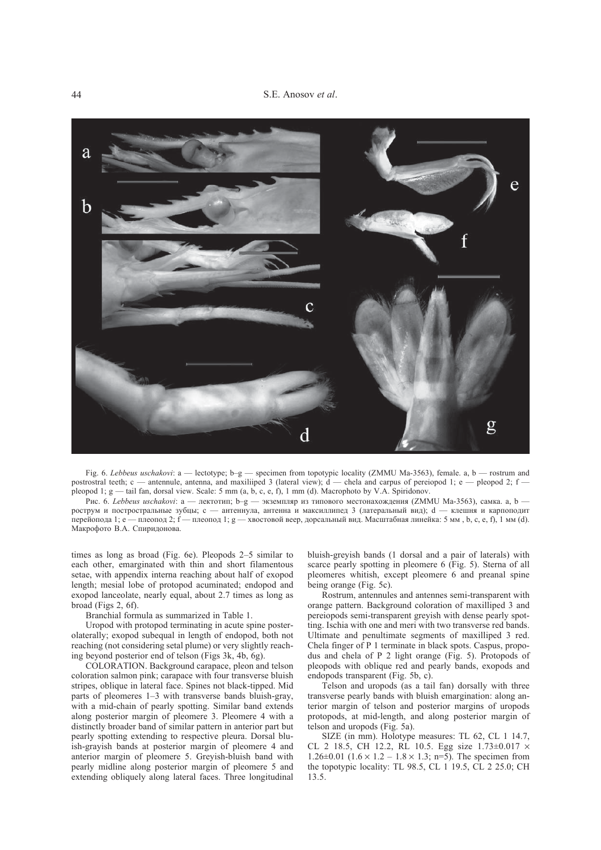

Fig. 6. *Lebbeus uschakovi*: a — lectotype; b–g — specimen from topotypic locality (ZMMU Ma-3563), female. a, b — rostrum and postrostral teeth; c — antennule, antenna, and maxiliiped 3 (lateral view);  $\vec{d}$  — chela and carpus of pereiopod 1; e — pleopod 2; f pleopod 1; g — tail fan, dorsal view. Scale: 5 mm (a, b, c, e, f), 1 mm (d). Macrophoto by V.A. Spiridonov.

Рис. 6. *Lebbeus uschakovi*: a — лектотип; b–g — экземпляр из типового местонахождения (ZMMU Ma-3563), самка. a, b рострум и постростральные зубцы; c — антеннула, антенна и максиллипед 3 (латеральный вид); d — клешня и карпоподит перейопода 1; e — плеопод 2; f — плеопод 1; g — хвостовой веер, дорсальный вид. Масштабная линейка: 5 мм , b, c, e, f), 1 мм (d). Макрофото В.А. Спиридонова.

times as long as broad (Fig. 6e). Pleopods 2–5 similar to each other, emarginated with thin and short filamentous setae, with appendix interna reaching about half of exopod length; mesial lobe of protopod acuminated; endopod and exopod lanceolate, nearly equal, about 2.7 times as long as broad (Figs 2, 6f).

Branchial formula as summarized in Table 1.

Uropod with protopod terminating in acute spine posterolaterally; exopod subequal in length of endopod, both not reaching (not considering setal plume) or very slightly reaching beyond posterior end of telson (Figs 3k, 4b, 6g).

COLORATION. Background carapace, pleon and telson coloration salmon pink; carapace with four transverse bluish stripes, oblique in lateral face. Spines not black-tipped. Mid parts of pleomeres 1–3 with transverse bands bluish-gray, with a mid-chain of pearly spotting. Similar band extends along posterior margin of pleomere 3. Pleomere 4 with a distinctly broader band of similar pattern in anterior part but pearly spotting extending to respective pleura. Dorsal bluish-grayish bands at posterior margin of pleomere 4 and anterior margin of pleomere 5. Greyish-bluish band with pearly midline along posterior margin of pleomere 5 and extending obliquely along lateral faces. Three longitudinal bluish-greyish bands (1 dorsal and a pair of laterals) with scarce pearly spotting in pleomere 6 (Fig. 5). Sterna of all pleomeres whitish, except pleomere 6 and preanal spine being orange (Fig. 5c).

Rostrum, antennules and antennes semi-transparent with orange pattern. Background coloration of maxilliped 3 and pereiopods semi-transparent greyish with dense pearly spotting. Ischia with one and meri with two transverse red bands. Ultimate and penultimate segments of maxilliped 3 red. Chela finger of P 1 terminate in black spots. Caspus, propodus and chela of P 2 light orange (Fig. 5). Protopods of pleopods with oblique red and pearly bands, exopods and endopods transparent (Fig. 5b, c).

Telson and uropods (as a tail fan) dorsally with three transverse pearly bands with bluish emargination: along anterior margin of telson and posterior margins of uropods protopods, at mid-length, and along posterior margin of telson and uropods (Fig. 5a).

SIZE (in mm). Holotype measures: TL 62, CL 1 14.7, CL 2 18.5, CH 12.2, RL 10.5. Egg size  $1.73 \pm 0.017 \times$ 1.26 $\pm$ 0.01 (1.6  $\times$  1.2 – 1.8  $\times$  1.3; n=5). The specimen from the topotypic locality: TL 98.5, CL 1 19.5, CL 2 25.0; CH 13.5.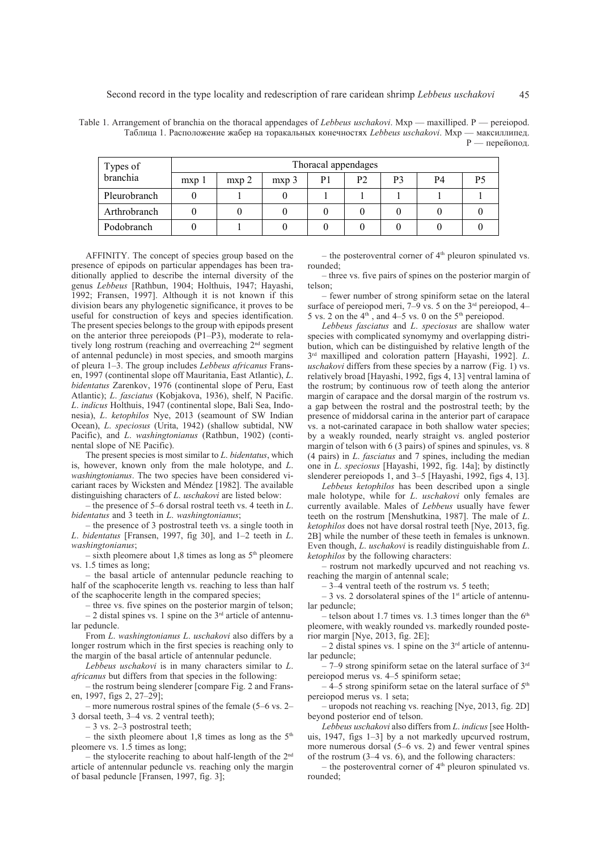Table 1. Arrangement of branchia on the thoracal appendages of *Lebbeus uschakovi*. Mxp — maxilliped. P — pereiopod. Таблица 1. Расположение жабер на торакальных конечностях *Lebbeus uschakovi*. Mxp — максиллипед. P — перейопод.

| Types of<br>branchia | Thoracal appendages |         |         |    |                |                |    |    |
|----------------------|---------------------|---------|---------|----|----------------|----------------|----|----|
|                      | mxp 1               | $mxp$ 2 | $mxp$ 3 | P1 | P <sub>2</sub> | P <sub>3</sub> | P4 | P5 |
| Pleurobranch         |                     |         |         |    |                |                |    |    |
| Arthrobranch         |                     |         |         |    |                |                |    |    |
| Podobranch           |                     |         |         |    |                |                |    |    |

AFFINITY. The concept of species group based on the presence of epipods on particular appendages has been traditionally applied to describe the internal diversity of the genus *Lebbeus* [Rathbun, 1904; Holthuis, 1947; Hayashi, 1992; Fransen, 1997]. Although it is not known if this division bears any phylogenetic significance, it proves to be useful for construction of keys and species identification. The present species belongs to the group with epipods present on the anterior three pereiopods (P1–P3), moderate to relatively long rostrum (reaching and overreaching 2nd segment of antennal peduncle) in most species, and smooth margins of pleura 1–3. The group includes *Lebbeus africanus* Fransen, 1997 (continental slope off Mauritania, East Atlantic), *L*. *bidentatus* Zarenkov, 1976 (continental slope of Peru, East Atlantic); *L*. *fasciatus* (Kobjakova, 1936), shelf, N Pacific. *L*. *indicus* Holthuis, 1947 (continental slope, Bali Sea, Indonesia), *L*. *ketophilos* Nye, 2013 (seamount of SW Indian Ocean), *L*. *speciosus* (Urita, 1942) (shallow subtidal, NW Pacific), and *L*. *washingtonianus* (Rathbun, 1902) (continental slope of NE Pacific).

The present species is most similar to *L*. *bidentatus*, which is, however, known only from the male holotype, and *L*. *washingtonianus*. The two species have been considered vicariant races by Wicksten and Méndez [1982]. The available distinguishing characters of *L*. *uschakovi* are listed below:

– the presence of 5–6 dorsal rostral teeth vs. 4 teeth in *L*. *bidentatus* and 3 teeth in *L*. *washingtonianus*;

– the presence of 3 postrostral teeth vs. a single tooth in *L*. *bidentatus* [Fransen, 1997, fig 30], and 1–2 teeth in *L*. *washingtonianus*;

 $-$  sixth pleomere about 1,8 times as long as  $5<sup>th</sup>$  pleomere vs. 1.5 times as long;

– the basal article of antennular peduncle reaching to half of the scaphocerite length vs. reaching to less than half of the scaphocerite length in the compared species;

– three vs. five spines on the posterior margin of telson;

 $-2$  distal spines vs. 1 spine on the  $3<sup>rd</sup>$  article of antennular peduncle.

From *L*. *washingtonianus L*. *uschakovi* also differs by a longer rostrum which in the first species is reaching only to the margin of the basal article of antennular peduncle.

*Lebbeus uschakovi* is in many characters similar to *L*. *africanus* but differs from that species in the following:

– the rostrum being slenderer [compare Fig. 2 and Fransen, 1997, figs 2, 27–29];

– more numerous rostral spines of the female (5–6 vs. 2– 3 dorsal teeth, 3–4 vs. 2 ventral teeth);

– 3 vs. 2–3 postrostral teeth;

– the sixth pleomere about 1,8 times as long as the  $5<sup>th</sup>$ pleomere vs. 1.5 times as long;

– the stylocerite reaching to about half-length of the  $2<sup>nd</sup>$ article of antennular peduncle vs. reaching only the margin of basal peduncle [Fransen, 1997, fig. 3];

– the posteroventral corner of  $4<sup>th</sup>$  pleuron spinulated vs. rounded;

– three vs. five pairs of spines on the posterior margin of telson;

– fewer number of strong spiniform setae on the lateral surface of pereiopod meri,  $7-9$  vs. 5 on the 3<sup>rd</sup> pereiopod, 4– 5 vs. 2 on the  $4<sup>th</sup>$ , and  $4-5$  vs. 0 on the  $5<sup>th</sup>$  pereiopod.

*Lebbeus fasciatus* and *L*. *speciosus* are shallow water species with complicated synomymy and overlapping distribution, which can be distinguished by relative length of the 3rd maxilliped and coloration pattern [Hayashi, 1992]. *L*. *uschakovi* differs from these species by a narrow (Fig. 1) vs. relatively broad [Hayashi, 1992, figs 4, 13] ventral lamina of the rostrum; by continuous row of teeth along the anterior margin of carapace and the dorsal margin of the rostrum vs. a gap between the rostral and the postrostral teeth; by the presence of middorsal carina in the anterior part of carapace vs. a not-carinated carapace in both shallow water species; by a weakly rounded, nearly straight vs. angled posterior margin of telson with 6 (3 pairs) of spines and spinules, vs. 8 (4 pairs) in *L*. *fasciatus* and 7 spines, including the median one in *L*. *speciosus* [Hayashi, 1992, fig. 14a]; by distinctly slenderer pereiopods 1, and 3–5 [Hayashi, 1992, figs 4, 13].

*Lebbeus ketophilos* has been described upon a single male holotype, while for *L*. *uschakovi* only females are currently available. Males of *Lebbeus* usually have fewer teeth on the rostrum [Menshutkina, 1987]. The male of *L*. *ketophilos* does not have dorsal rostral teeth [Nye, 2013, fig. 2B] while the number of these teeth in females is unknown. Even though, *L*. *uschakovi* is readily distinguishable from *L*. *ketophilos* by the following characters:

– rostrum not markedly upcurved and not reaching vs. reaching the margin of antennal scale;

– 3–4 ventral teeth of the rostrum vs. 5 teeth;

 $-3$  vs. 2 dorsolateral spines of the 1<sup>st</sup> article of antennular peduncle;

- telson about 1.7 times vs. 1.3 times longer than the  $6<sup>th</sup>$ pleomere, with weakly rounded vs. markedly rounded posterior margin [Nye, 2013, fig. 2E];

 $-2$  distal spines vs. 1 spine on the  $3<sup>rd</sup>$  article of antennular peduncle;

 $-7-9$  strong spiniform setae on the lateral surface of  $3<sup>rd</sup>$ pereiopod merus vs. 4–5 spiniform setae;

 $-4$ –5 strong spiniform setae on the lateral surface of  $5<sup>th</sup>$ pereiopod merus vs. 1 seta;

– uropods not reaching vs. reaching [Nye, 2013, fig. 2D] beyond posterior end of telson.

*Lebbeus uschakovi* also differs from *L*. *indicus* [see Holthuis, 1947, figs 1–3] by a not markedly upcurved rostrum, more numerous dorsal (5–6 vs. 2) and fewer ventral spines of the rostrum (3–4 vs. 6), and the following characters:

– the posteroventral corner of  $4<sup>th</sup>$  pleuron spinulated vs. rounded;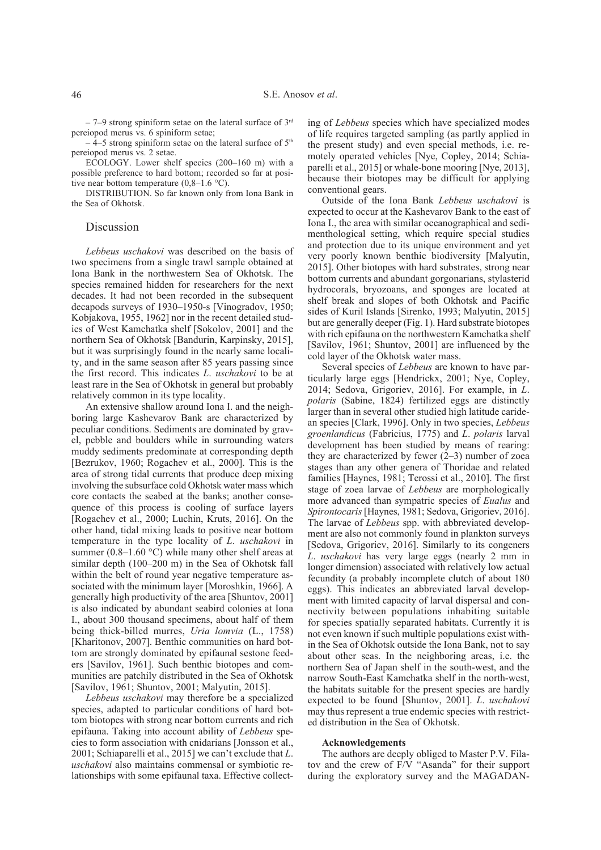$-7-9$  strong spiniform setae on the lateral surface of  $3<sup>rd</sup>$ pereiopod merus vs. 6 spiniform setae;

 $-4$ –5 strong spiniform setae on the lateral surface of  $5<sup>th</sup>$ pereiopod merus vs. 2 setae.

ECOLOGY. Lower shelf species (200–160 m) with a possible preference to hard bottom; recorded so far at positive near bottom temperature  $(0,8-1.6 \degree C)$ .

DISTRIBUTION. So far known only from Iona Bank in the Sea of Okhotsk.

### Discussion

*Lebbeus uschakovi* was described on the basis of two specimens from a single trawl sample obtained at Iona Bank in the northwestern Sea of Okhotsk. The species remained hidden for researchers for the next decades. It had not been recorded in the subsequent decapods surveys of 1930–1950-s [Vinogradov, 1950; Kobjakova, 1955, 1962] nor in the recent detailed studies of West Kamchatka shelf [Sokolov, 2001] and the northern Sea of Okhotsk [Bandurin, Karpinsky, 2015], but it was surprisingly found in the nearly same locality, and in the same season after 85 years passing since the first record. This indicates *L*. *uschakovi* to be at least rare in the Sea of Okhotsk in general but probably relatively common in its type locality.

An extensive shallow around Iona I. and the neighboring large Kashevarov Bank are characterized by peculiar conditions. Sediments are dominated by gravel, pebble and boulders while in surrounding waters muddy sediments predominate at corresponding depth [Bezrukov, 1960; Rogachev et al., 2000]. This is the area of strong tidal currents that produce deep mixing involving the subsurface cold Okhotsk water mass which core contacts the seabed at the banks; another consequence of this process is cooling of surface layers [Rogachev et al., 2000; Luchin, Kruts, 2016]. On the other hand, tidal mixing leads to positive near bottom temperature in the type locality of *L*. *uschakovi* in summer (0.8–1.60  $^{\circ}$ C) while many other shelf areas at similar depth (100–200 m) in the Sea of Okhotsk fall within the belt of round year negative temperature associated with the minimum layer [Moroshkin, 1966]. A generally high productivity of the area [Shuntov, 2001] is also indicated by abundant seabird colonies at Iona I., about 300 thousand specimens, about half of them being thick-billed murres, *Uria lomvia* (L., 1758) [Kharitonov, 2007]. Benthic communities on hard bottom are strongly dominated by epifaunal sestone feeders [Savilov, 1961]. Such benthic biotopes and communities are patchily distributed in the Sea of Okhotsk [Savilov, 1961; Shuntov, 2001; Malyutin, 2015].

*Lebbeus uschakovi* may therefore be a specialized species, adapted to particular conditions of hard bottom biotopes with strong near bottom currents and rich epifauna. Taking into account ability of *Lebbeus* species to form association with cnidarians [Jonsson et al., 2001; Schiaparelli et al., 2015] we can't exclude that *L*. *uschakovi* also maintains commensal or symbiotic relationships with some epifaunal taxa. Effective collect-

ing of *Lebbeus* species which have specialized modes of life requires targeted sampling (as partly applied in the present study) and even special methods, i.e. remotely operated vehicles [Nye, Copley, 2014; Schiaparelli et al., 2015] or whale-bone mooring [Nye, 2013], because their biotopes may be difficult for applying conventional gears.

Outside of the Iona Bank *Lebbeus uschakovi* is expected to occur at the Kashevarov Bank to the east of Iona I., the area with similar oceanographical and sedimenthological setting, which require special studies and protection due to its unique environment and yet very poorly known benthic biodiversity [Malyutin, 2015]. Other biotopes with hard substrates, strong near bottom currents and abundant gorgonarians, stylasterid hydrocorals, bryozoans, and sponges are located at shelf break and slopes of both Okhotsk and Pacific sides of Kuril Islands [Sirenko, 1993; Malyutin, 2015] but are generally deeper (Fig. 1). Hard substrate biotopes with rich epifauna on the northwestern Kamchatka shelf [Savilov, 1961; Shuntov, 2001] are influenced by the cold layer of the Okhotsk water mass.

Several species of *Lebbeus* are known to have particularly large eggs [Hendrickx, 2001; Nye, Copley, 2014; Sedova, Grigoriev, 2016]. For example, in *L*. *polaris* (Sabine, 1824) fertilized eggs are distinctly larger than in several other studied high latitude caridean species [Clark, 1996]. Only in two species, *Lebbeus groenlandicus* (Fabricius, 1775) and *L*. *polaris* larval development has been studied by means of rearing: they are characterized by fewer (2–3) number of zoea stages than any other genera of Thoridae and related families [Haynes, 1981; Terossi et al., 2010]. The first stage of zoea larvae of *Lebbeus* are morphologically more advanced than sympatric species of *Eualus* and *Spirontocaris* [Haynes, 1981; Sedova, Grigoriev, 2016]. The larvae of *Lebbeus* spp. with abbreviated development are also not commonly found in plankton surveys [Sedova, Grigoriev, 2016]. Similarly to its congeners *L*. *uschakovi* has very large eggs (nearly 2 mm in longer dimension) associated with relatively low actual fecundity (a probably incomplete clutch of about 180 eggs). This indicates an abbreviated larval development with limited capacity of larval dispersal and connectivity between populations inhabiting suitable for species spatially separated habitats. Currently it is not even known if such multiple populations exist within the Sea of Okhotsk outside the Iona Bank, not to say about other seas. In the neighboring areas, i.e. the northern Sea of Japan shelf in the south-west, and the narrow South-East Kamchatka shelf in the north-west, the habitats suitable for the present species are hardly expected to be found [Shuntov, 2001]. *L*. *uschakovi* may thus represent a true endemic species with restricted distribution in the Sea of Okhotsk.

#### **Acknowledgements**

The authors are deeply obliged to Master P.V. Filatov and the crew of F/V "Asanda" for their support during the exploratory survey and the MAGADAN-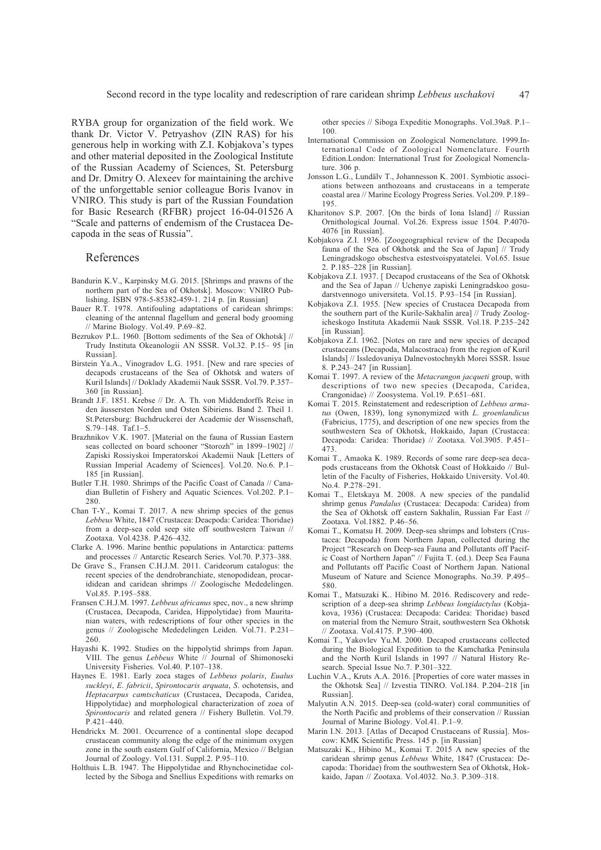RYBA group for organization of the field work. We thank Dr. Victor V. Petryashov (ZIN RAS) for his generous help in working with Z.I. Kobjakova's types and other material deposited in the Zoological Institute of the Russian Academy of Sciences, St. Petersburg and Dr. Dmitry O. Alexeev for maintaining the archive of the unforgettable senior colleague Boris Ivanov in VNIRO. This study is part of the Russian Foundation for Basic Research (RFBR) project 16-04-01526 A "Scale and patterns of endemism of the Crustacea Decapoda in the seas of Russia".

### References

- Bandurin K.V., Karpinsky M.G. 2015. [Shrimps and prawns of the northern part of the Sea of Okhotsk]. Moscow: VNIRO Publishing. ISBN 978-5-85382-459-1. 214 p. [in Russian]
- Bauer R.T. 1978. Antifouling adaptations of caridean shrimps: cleaning of the antennal flagellum and general body grooming // Marine Biology. Vol.49. P.69–82.
- Bezrukov P.L. 1960. [Bottom sediments of the Sea of Okhotsk] // Trudy Instituta Okeanologii AN SSSR. Vol.32. P.15– 95 [in Russian].
- Birstein Ya.A., Vinogradov L.G. 1951. [New and rare species of decapods crustaceans of the Sea of Okhotsk and waters of Kuril Islands] // Doklady Akademii Nauk SSSR. Vol.79. P.357– 360 [in Russian].
- Brandt J.F. 1851. Krebse // Dr. A. Th. von Middendorffs Reise in den äussersten Norden und Osten Sibiriens. Band 2. Theil 1. St.Petersburg: Buchdruckerei der Academie der Wissenschaft, S.79–148. Taf.1–5.
- Brazhnikov V.K. 1907. [Material on the fauna of Russian Eastern seas collected on board schooner "Storozh" in 1899–1902] // Zapiski Rossiyskoi Imperatorskoi Akademii Nauk [Letters of Russian Imperial Academy of Sciences]. Vol.20. No.6. P.1– 185 [in Russian].
- Butler T.H. 1980. Shrimps of the Pacific Coast of Canada // Canadian Bulletin of Fishery and Aquatic Sciences. Vol.202. P.1– 280.
- Chan T-Y., Komai T. 2017. A new shrimp species of the genus *Lebbeus* White, 1847 (Crustacea: Deacpoda: Caridea: Thoridae) from a deep-sea cold seep site off southwestern Taiwan // Zootaxa. Vol.4238. P.426–432.
- Clarke A. 1996. Marine benthic populations in Antarctica: patterns and processes // Antarctic Research Series. Vol.70. P.373–388.
- De Grave S., Fransen C.H.J.M. 2011. Carideorum catalogus: the recent species of the dendrobranchiate, stenopodidean, procarididean and caridean shrimps // Zoologische Mededelingen. Vol.85. P.195–588.
- Fransen C.H.J.M. 1997. *Lebbeus africanus* spec, nov., a new shrimp (Crustacea, Decapoda, Caridea, Hippolytidae) from Mauritanian waters, with redescriptions of four other species in the genus // Zoologische Mededelingen Leiden. Vol.71. P.231– 260.
- Hayashi K. 1992. Studies on the hippolytid shrimps from Japan. VIII. The genus *Lebbeus* White // Journal of Shimonoseki University Fisheries. Vol.40. P.107–138.
- Haynes E. 1981. Early zoea stages of *Lebbeus polaris*, *Eualus suckleyi*, *E*. *fabricii*, *Spirontocaris arquata*, *S*. ochotensis, and *Heptacarpus camtschaticus* (Crustacea, Decapoda, Caridea, Hippolytidae) and morphological characterization of zoea of *Spirontocaris* and related genera // Fishery Bulletin. Vol.79. P.421–440.
- Hendrickx M. 2001. Occurrence of a continental slope decapod crustacean community along the edge of the minimum oxygen zone in the south eastern Gulf of California, Mexico // Belgian Journal of Zoology. Vol.131. Suppl.2. P.95–110.
- Holthuis L.B. 1947. The Hippolytidae and Rhynchocinetidae collected by the Siboga and Snellius Expeditions with remarks on

other species // Siboga Expeditie Monographs. Vol.39a8. P.1– 100.

- International Commission on Zoological Nomenclature. 1999.International Code of Zoological Nomenclature. Fourth Edition.London: International Trust for Zoological Nomenclature. 306 p.
- Jonsson L.G., Lundälv T., Johannesson K. 2001. Symbiotic associations between anthozoans and crustaceans in a temperate coastal area // Marine Ecology Progress Series. Vol.209. P.189– 195.
- Kharitonov S.P. 2007. [On the birds of Iona Island] // Russian Ornithological Journal. Vol.26. Express issue 1504. P.4070- 4076 [in Russian].
- Kobjakova Z.I. 1936. [Zoogeographical review of the Decapoda fauna of the Sea of Okhotsk and the Sea of Japan] // Trudy Leningradskogo obschestva estestvoispyatatelei. Vol.65. Issue 2. P.185–228 [in Russian].
- Kobjakova Z.I. 1937. [ Decapod crustaceans of the Sea of Okhotsk and the Sea of Japan // Uchenye zapiski Leningradskoo gosudarstvennogo universiteta. Vol.15. P.93–154 [in Russian].
- Kobjakova Z.I. 1955. [New species of Crustacea Decapoda from the southern part of the Kurile-Sakhalin area] // Trudy Zoologicheskogo Instituta Akademii Nauk SSSR. Vol.18. P.235–242 [in Russian].
- Kobjakova Z.I. 1962. [Notes on rare and new species of decapod crustaceans (Decapoda, Malacostraca) from the region of Kuril Islands] // Issledovaniya Dalnevostochnykh Morei SSSR. Issue 8. P.243–247 [in Russian].
- Komai T. 1997. A review of the *Metacrangon jacqueti* group, with descriptions of two new species (Decapoda, Caridea, Crangonidae) // Zoosystema. Vol.19. P.651–681.
- Komai T. 2015. Reinstatement and redescription of *Lebbeus armatus* (Owen, 1839), long synonymized with *L*. *groenlandicus* (Fabricius, 1775), and description of one new species from the southwestern Sea of Okhotsk, Hokkaido, Japan (Crustacea: Decapoda: Caridea: Thoridae) // Zootaxa. Vol.3905. P.451– 473.
- Komai T., Amaoka K. 1989. Records of some rare deep-sea decapods crustaceans from the Okhotsk Coast of Hokkaido // Bulletin of the Faculty of Fisheries, Hokkaido University. Vol.40. No.4. P.278–291.
- Komai T., Eletskaya M. 2008. A new species of the pandalid shrimp genus *Pandalus* (Crustacea: Decapoda: Caridea) from the Sea of Okhotsk off eastern Sakhalin, Russian Far East // Zootaxa. Vol.1882. P.46–56.
- Komai T., Komatsu H. 2009. Deep-sea shrimps and lobsters (Crustacea: Decapoda) from Northern Japan, collected during the Project "Research on Deep-sea Fauna and Pollutants off Pacific Coast of Northern Japan" // Fujita T. (ed.). Deep Sea Fauna and Pollutants off Pacific Coast of Northern Japan. National Museum of Nature and Science Monographs. No.39. P.495– 580.
- Komai T., Matsuzaki K.. Hibino M. 2016. Rediscovery and redescription of a deep-sea shrimp *Lebbeus longidactylus* (Kobjakova, 1936) (Crustacea: Decapoda: Caridea: Thoridae) based on material from the Nemuro Strait, southwestern Sea Okhotsk // Zootaxa. Vol.4175. P.390–400.
- Komai T., Yakovlev Yu.M. 2000. Decapod crustaceans collected during the Biological Expedition to the Kamchatka Peninsula and the North Kuril Islands in 1997 // Natural History Research. Special Issue No.7. P.301–322.
- Luchin V.A., Kruts A.A. 2016. [Properties of core water masses in the Okhotsk Sea] // Izvestia TINRO. Vol.184. P.204–218 [in Russian].
- Malyutin A.N. 2015. Deep-sea (cold-water) coral communities of the North Pacific and problems of their conservation // Russian Journal of Marine Biology. Vol.41. P.1–9.
- Marin I.N. 2013. [Atlas of Decapod Crustaceans of Russia]. Moscow: KMK Scientific Press. 145 p. [in Russian]
- Matsuzaki K., Hibino M., Komai T. 2015 A new species of the caridean shrimp genus *Lebbeus* White, 1847 (Crustacea: Decapoda: Thoridae) from the southwestern Sea of Okhotsk, Hokkaido, Japan // Zootaxa. Vol.4032. No.3. P.309–318.